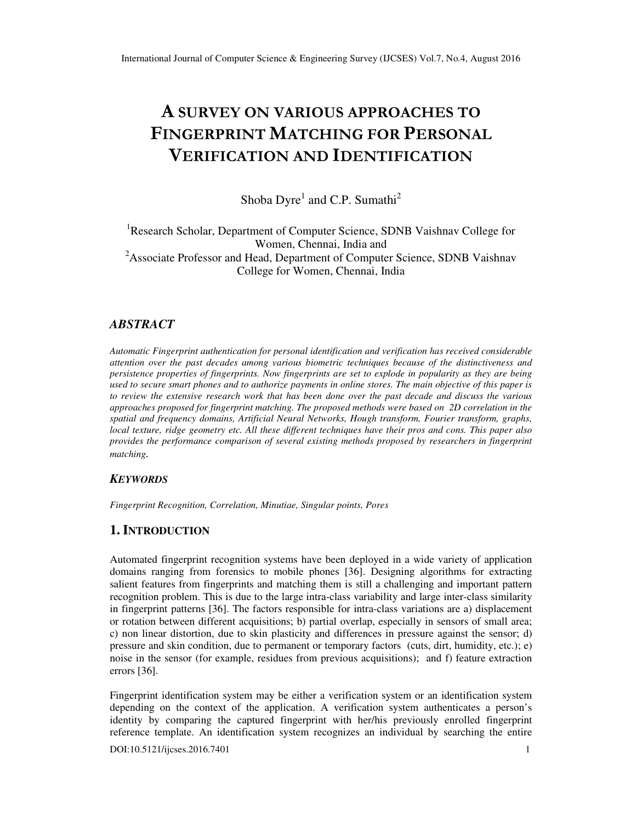# **A SURVEY ON VARIOUS APPROACHES TO FINGERPRINT MATCHING FOR PERSONAL VERIFICATION AND IDENTIFICATION**

Shoba Dyre $^1$  and C.P. Sumathi<sup>2</sup>

<sup>1</sup>Research Scholar, Department of Computer Science, SDNB Vaishnav College for Women, Chennai, India and <sup>2</sup> Associate Professor and Head, Department of Computer Science, SDNB Vaishnav College for Women, Chennai, India

## *ABSTRACT*

*Automatic Fingerprint authentication for personal identification and verification has received considerable attention over the past decades among various biometric techniques because of the distinctiveness and persistence properties of fingerprints. Now fingerprints are set to explode in popularity as they are being used to secure smart phones and to authorize payments in online stores. The main objective of this paper is to review the extensive research work that has been done over the past decade and discuss the various approaches proposed for fingerprint matching. The proposed methods were based on 2D correlation in the spatial and frequency domains, Artificial Neural Networks, Hough transform, Fourier transform, graphs, local texture, ridge geometry etc. All these different techniques have their pros and cons. This paper also provides the performance comparison of several existing methods proposed by researchers in fingerprint matching.* 

### *KEYWORDS*

*Fingerprint Recognition, Correlation, Minutiae, Singular points, Pores* 

## **1. INTRODUCTION**

Automated fingerprint recognition systems have been deployed in a wide variety of application domains ranging from forensics to mobile phones [36]. Designing algorithms for extracting salient features from fingerprints and matching them is still a challenging and important pattern recognition problem. This is due to the large intra-class variability and large inter-class similarity in fingerprint patterns [36]. The factors responsible for intra-class variations are a) displacement or rotation between different acquisitions; b) partial overlap, especially in sensors of small area; c) non linear distortion, due to skin plasticity and differences in pressure against the sensor; d) pressure and skin condition, due to permanent or temporary factors (cuts, dirt, humidity, etc.); e) noise in the sensor (for example, residues from previous acquisitions); and f) feature extraction errors [36].

Fingerprint identification system may be either a verification system or an identification system depending on the context of the application. A verification system authenticates a person's identity by comparing the captured fingerprint with her/his previously enrolled fingerprint reference template. An identification system recognizes an individual by searching the entire

DOI:10.5121/ijcses.2016.7401 1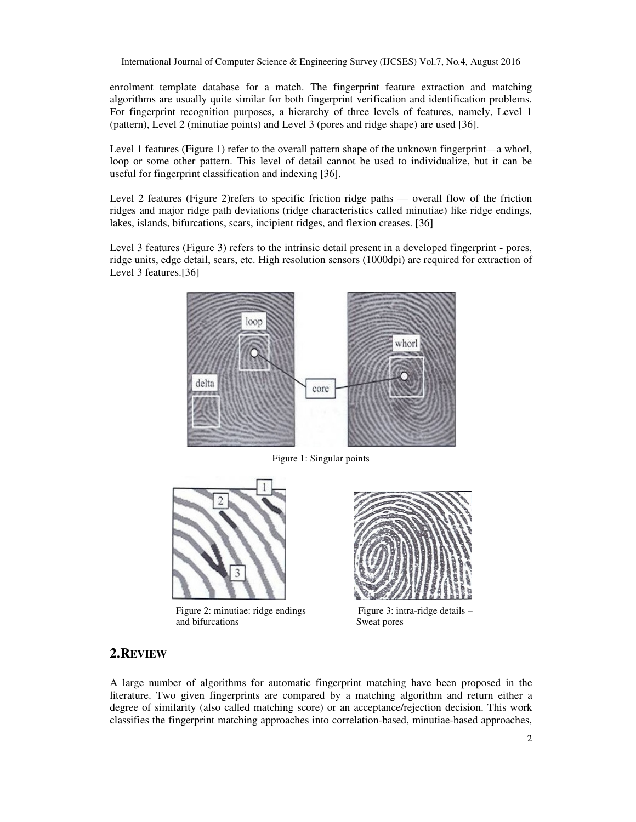enrolment template database for a match. The fingerprint feature extraction and matching algorithms are usually quite similar for both fingerprint verification and identification problems. For fingerprint recognition purposes, a hierarchy of three levels of features, namely, Level 1 (pattern), Level 2 (minutiae points) and Level 3 (pores and ridge shape) are used [36].

Level 1 features (Figure 1) refer to the overall pattern shape of the unknown fingerprint—a whorl, loop or some other pattern. This level of detail cannot be used to individualize, but it can be useful for fingerprint classification and indexing [36].

Level 2 features (Figure 2)refers to specific friction ridge paths — overall flow of the friction ridges and major ridge path deviations (ridge characteristics called minutiae) like ridge endings, lakes, islands, bifurcations, scars, incipient ridges, and flexion creases. [36]

Level 3 features (Figure 3) refers to the intrinsic detail present in a developed fingerprint - pores, ridge units, edge detail, scars, etc. High resolution sensors (1000dpi) are required for extraction of Level 3 features.[36]



Figure 1: Singular points



Figure 2: minutiae: ridge endings Figure 3: intra-ridge details – and bifurcations Sweat pores



## **2.REVIEW**

A large number of algorithms for automatic fingerprint matching have been proposed in the literature. Two given fingerprints are compared by a matching algorithm and return either a degree of similarity (also called matching score) or an acceptance/rejection decision. This work classifies the fingerprint matching approaches into correlation-based, minutiae-based approaches,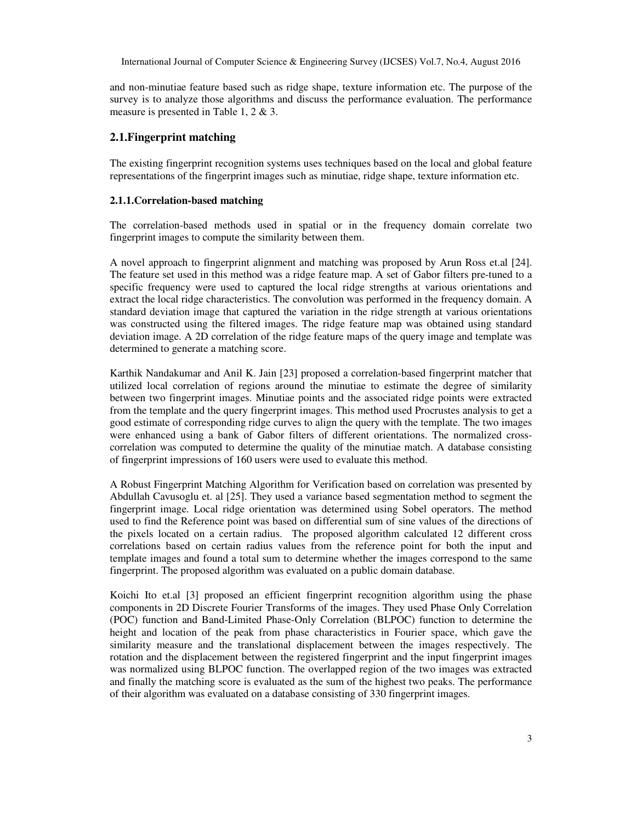and non-minutiae feature based such as ridge shape, texture information etc. The purpose of the survey is to analyze those algorithms and discuss the performance evaluation. The performance measure is presented in Table 1, 2 & 3.

## **2.1.Fingerprint matching**

The existing fingerprint recognition systems uses techniques based on the local and global feature representations of the fingerprint images such as minutiae, ridge shape, texture information etc.

#### **2.1.1.Correlation-based matching**

The correlation-based methods used in spatial or in the frequency domain correlate two fingerprint images to compute the similarity between them.

A novel approach to fingerprint alignment and matching was proposed by Arun Ross et.al [24]. The feature set used in this method was a ridge feature map. A set of Gabor filters pre-tuned to a specific frequency were used to captured the local ridge strengths at various orientations and extract the local ridge characteristics. The convolution was performed in the frequency domain. A standard deviation image that captured the variation in the ridge strength at various orientations was constructed using the filtered images. The ridge feature map was obtained using standard deviation image. A 2D correlation of the ridge feature maps of the query image and template was determined to generate a matching score.

Karthik Nandakumar and Anil K. Jain [23] proposed a correlation-based fingerprint matcher that utilized local correlation of regions around the minutiae to estimate the degree of similarity between two fingerprint images. Minutiae points and the associated ridge points were extracted from the template and the query fingerprint images. This method used Procrustes analysis to get a good estimate of corresponding ridge curves to align the query with the template. The two images were enhanced using a bank of Gabor filters of different orientations. The normalized crosscorrelation was computed to determine the quality of the minutiae match. A database consisting of fingerprint impressions of 160 users were used to evaluate this method.

A Robust Fingerprint Matching Algorithm for Verification based on correlation was presented by Abdullah Cavusoglu et. al [25]. They used a variance based segmentation method to segment the fingerprint image. Local ridge orientation was determined using Sobel operators. The method used to find the Reference point was based on differential sum of sine values of the directions of the pixels located on a certain radius. The proposed algorithm calculated 12 different cross correlations based on certain radius values from the reference point for both the input and template images and found a total sum to determine whether the images correspond to the same fingerprint. The proposed algorithm was evaluated on a public domain database.

Koichi Ito et.al [3] proposed an efficient fingerprint recognition algorithm using the phase components in 2D Discrete Fourier Transforms of the images. They used Phase Only Correlation (POC) function and Band-Limited Phase-Only Correlation (BLPOC) function to determine the height and location of the peak from phase characteristics in Fourier space, which gave the similarity measure and the translational displacement between the images respectively. The rotation and the displacement between the registered fingerprint and the input fingerprint images was normalized using BLPOC function. The overlapped region of the two images was extracted and finally the matching score is evaluated as the sum of the highest two peaks. The performance of their algorithm was evaluated on a database consisting of 330 fingerprint images.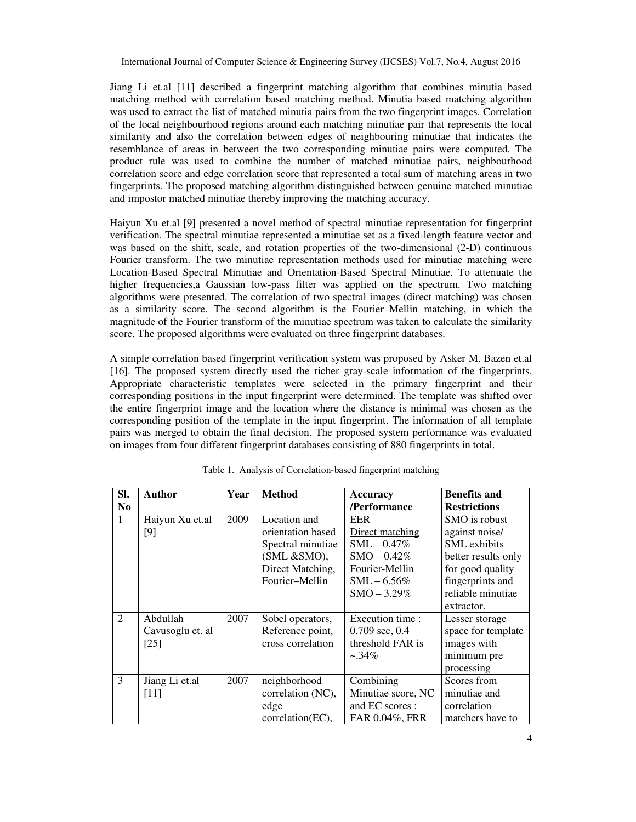Jiang Li et.al [11] described a fingerprint matching algorithm that combines minutia based matching method with correlation based matching method. Minutia based matching algorithm was used to extract the list of matched minutia pairs from the two fingerprint images. Correlation of the local neighbourhood regions around each matching minutiae pair that represents the local similarity and also the correlation between edges of neighbouring minutiae that indicates the resemblance of areas in between the two corresponding minutiae pairs were computed. The product rule was used to combine the number of matched minutiae pairs, neighbourhood correlation score and edge correlation score that represented a total sum of matching areas in two fingerprints. The proposed matching algorithm distinguished between genuine matched minutiae and impostor matched minutiae thereby improving the matching accuracy.

Haiyun Xu et.al [9] presented a novel method of spectral minutiae representation for fingerprint verification. The spectral minutiae represented a minutiae set as a fixed-length feature vector and was based on the shift, scale, and rotation properties of the two-dimensional (2-D) continuous Fourier transform. The two minutiae representation methods used for minutiae matching were Location-Based Spectral Minutiae and Orientation-Based Spectral Minutiae. To attenuate the higher frequencies,a Gaussian low-pass filter was applied on the spectrum. Two matching algorithms were presented. The correlation of two spectral images (direct matching) was chosen as a similarity score. The second algorithm is the Fourier–Mellin matching, in which the magnitude of the Fourier transform of the minutiae spectrum was taken to calculate the similarity score. The proposed algorithms were evaluated on three fingerprint databases.

A simple correlation based fingerprint verification system was proposed by Asker M. Bazen et.al [16]. The proposed system directly used the richer gray-scale information of the fingerprints. Appropriate characteristic templates were selected in the primary fingerprint and their corresponding positions in the input fingerprint were determined. The template was shifted over the entire fingerprint image and the location where the distance is minimal was chosen as the corresponding position of the template in the input fingerprint. The information of all template pairs was merged to obtain the final decision. The proposed system performance was evaluated on images from four different fingerprint databases consisting of 880 fingerprints in total.

| SI.            | <b>Author</b>    | Year | <b>Method</b>     | Accuracy                 | <b>Benefits and</b> |
|----------------|------------------|------|-------------------|--------------------------|---------------------|
| N <sub>0</sub> |                  |      |                   | /Performance             | <b>Restrictions</b> |
| $\mathbf{1}$   | Haiyun Xu et.al  | 2009 | Location and      | <b>EER</b>               | SMO is robust       |
|                | [9]              |      | orientation based | Direct matching          | against noise/      |
|                |                  |      | Spectral minutiae | $SML - 0.47\%$           | <b>SML</b> exhibits |
|                |                  |      | (SML &SMO),       | $SMO - 0.42%$            | better results only |
|                |                  |      | Direct Matching,  | Fourier-Mellin           | for good quality    |
|                |                  |      | Fourier-Mellin    | $SML - 6.56\%$           | fingerprints and    |
|                |                  |      |                   | $SMO - 3.29%$            | reliable minutiae   |
|                |                  |      |                   |                          | extractor.          |
| $\overline{2}$ | Abdullah         | 2007 | Sobel operators,  | Execution time:          | Lesser storage      |
|                | Cavusoglu et. al |      | Reference point,  | $0.709 \text{ sec}, 0.4$ | space for template  |
|                | $[25]$           |      | cross correlation | threshold FAR is         | images with         |
|                |                  |      |                   | $-.34\%$                 | minimum pre         |
|                |                  |      |                   |                          | processing          |
| 3              | Jiang Li et.al   | 2007 | neighborhood      | Combining                | Scores from         |
|                | $[11]$           |      | correlation (NC), | Minutiae score, NC       | minutiae and        |
|                |                  |      | edge              | and EC scores:           | correlation         |
|                |                  |      | correlation(EC),  | FAR 0.04%, FRR           | matchers have to    |

Table 1. Analysis of Correlation-based fingerprint matching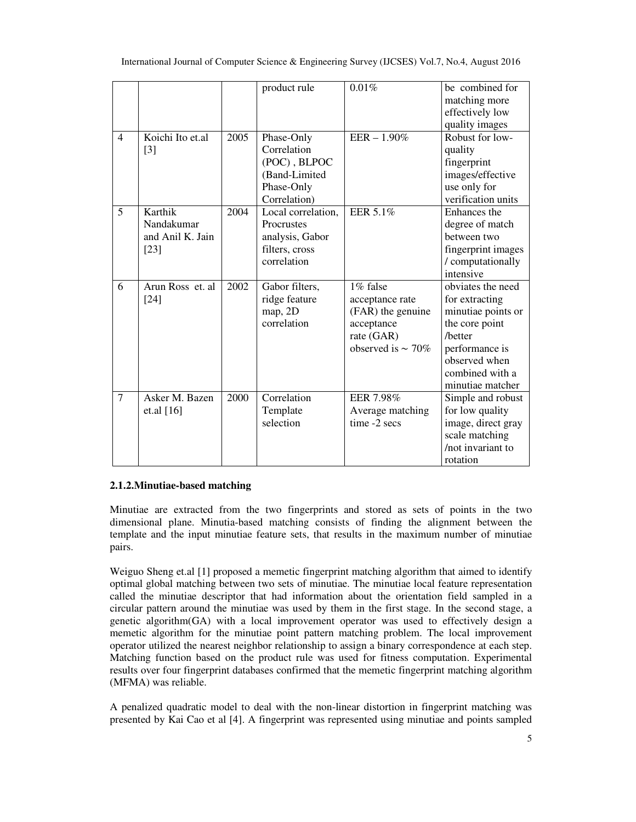|                |                   |      | product rule       | 0.01%                  | be combined for    |
|----------------|-------------------|------|--------------------|------------------------|--------------------|
|                |                   |      |                    |                        | matching more      |
|                |                   |      |                    |                        | effectively low    |
|                |                   |      |                    |                        | quality images     |
| $\overline{4}$ | Koichi Ito et.al  | 2005 | Phase-Only         | $EER - 1.90\%$         | Robust for low-    |
|                | $\lceil 3 \rceil$ |      | Correlation        |                        | quality            |
|                |                   |      | (POC), BLPOC       |                        | fingerprint        |
|                |                   |      | (Band-Limited      |                        | images/effective   |
|                |                   |      | Phase-Only         |                        | use only for       |
|                |                   |      | Correlation)       |                        | verification units |
| 5              | Karthik           | 2004 | Local correlation, | EER 5.1%               | Enhances the       |
|                | Nandakumar        |      | Procrustes         |                        | degree of match    |
|                | and Anil K. Jain  |      | analysis, Gabor    |                        | between two        |
|                | $[23]$            |      | filters, cross     |                        | fingerprint images |
|                |                   |      | correlation        |                        | / computationally  |
|                |                   |      |                    |                        | intensive          |
| 6              | Arun Ross et al   | 2002 | Gabor filters,     | 1% false               | obviates the need  |
|                | $[24]$            |      | ridge feature      | acceptance rate        | for extracting     |
|                |                   |      | map, 2D            | (FAR) the genuine      | minutiae points or |
|                |                   |      | correlation        | acceptance             | the core point     |
|                |                   |      |                    | rate (GAR)             | /better            |
|                |                   |      |                    | observed is $\sim$ 70% | performance is     |
|                |                   |      |                    |                        | observed when      |
|                |                   |      |                    |                        | combined with a    |
|                |                   |      |                    |                        | minutiae matcher   |
| $\overline{7}$ | Asker M. Bazen    | 2000 | Correlation        | EER 7.98%              | Simple and robust  |
|                | et.al [16]        |      | Template           | Average matching       | for low quality    |
|                |                   |      | selection          | time -2 secs           | image, direct gray |
|                |                   |      |                    |                        | scale matching     |
|                |                   |      |                    |                        | /not invariant to  |
|                |                   |      |                    |                        | rotation           |

## **2.1.2.Minutiae-based matching**

Minutiae are extracted from the two fingerprints and stored as sets of points in the two dimensional plane. Minutia-based matching consists of finding the alignment between the template and the input minutiae feature sets, that results in the maximum number of minutiae pairs.

Weiguo Sheng et.al [1] proposed a memetic fingerprint matching algorithm that aimed to identify optimal global matching between two sets of minutiae. The minutiae local feature representation called the minutiae descriptor that had information about the orientation field sampled in a circular pattern around the minutiae was used by them in the first stage. In the second stage, a genetic algorithm(GA) with a local improvement operator was used to effectively design a memetic algorithm for the minutiae point pattern matching problem. The local improvement operator utilized the nearest neighbor relationship to assign a binary correspondence at each step. Matching function based on the product rule was used for fitness computation. Experimental results over four fingerprint databases confirmed that the memetic fingerprint matching algorithm (MFMA) was reliable.

A penalized quadratic model to deal with the non-linear distortion in fingerprint matching was presented by Kai Cao et al [4]. A fingerprint was represented using minutiae and points sampled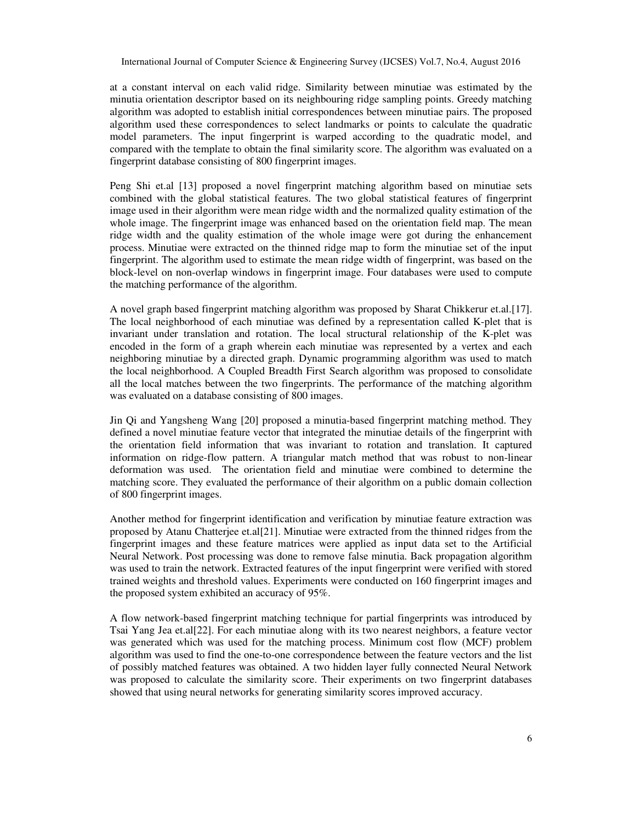at a constant interval on each valid ridge. Similarity between minutiae was estimated by the minutia orientation descriptor based on its neighbouring ridge sampling points. Greedy matching algorithm was adopted to establish initial correspondences between minutiae pairs. The proposed algorithm used these correspondences to select landmarks or points to calculate the quadratic model parameters. The input fingerprint is warped according to the quadratic model, and compared with the template to obtain the final similarity score. The algorithm was evaluated on a fingerprint database consisting of 800 fingerprint images.

Peng Shi et.al [13] proposed a novel fingerprint matching algorithm based on minutiae sets combined with the global statistical features. The two global statistical features of fingerprint image used in their algorithm were mean ridge width and the normalized quality estimation of the whole image. The fingerprint image was enhanced based on the orientation field map. The mean ridge width and the quality estimation of the whole image were got during the enhancement process. Minutiae were extracted on the thinned ridge map to form the minutiae set of the input fingerprint. The algorithm used to estimate the mean ridge width of fingerprint, was based on the block-level on non-overlap windows in fingerprint image. Four databases were used to compute the matching performance of the algorithm.

A novel graph based fingerprint matching algorithm was proposed by Sharat Chikkerur et.al.[17]. The local neighborhood of each minutiae was defined by a representation called K-plet that is invariant under translation and rotation. The local structural relationship of the K-plet was encoded in the form of a graph wherein each minutiae was represented by a vertex and each neighboring minutiae by a directed graph. Dynamic programming algorithm was used to match the local neighborhood. A Coupled Breadth First Search algorithm was proposed to consolidate all the local matches between the two fingerprints. The performance of the matching algorithm was evaluated on a database consisting of 800 images.

Jin Qi and Yangsheng Wang [20] proposed a minutia-based fingerprint matching method. They defined a novel minutiae feature vector that integrated the minutiae details of the fingerprint with the orientation field information that was invariant to rotation and translation. It captured information on ridge-flow pattern. A triangular match method that was robust to non-linear deformation was used. The orientation field and minutiae were combined to determine the matching score. They evaluated the performance of their algorithm on a public domain collection of 800 fingerprint images.

Another method for fingerprint identification and verification by minutiae feature extraction was proposed by Atanu Chatterjee et.al[21]. Minutiae were extracted from the thinned ridges from the fingerprint images and these feature matrices were applied as input data set to the Artificial Neural Network. Post processing was done to remove false minutia. Back propagation algorithm was used to train the network. Extracted features of the input fingerprint were verified with stored trained weights and threshold values. Experiments were conducted on 160 fingerprint images and the proposed system exhibited an accuracy of 95%.

A flow network-based fingerprint matching technique for partial fingerprints was introduced by Tsai Yang Jea et.al[22]. For each minutiae along with its two nearest neighbors, a feature vector was generated which was used for the matching process. Minimum cost flow (MCF) problem algorithm was used to find the one-to-one correspondence between the feature vectors and the list of possibly matched features was obtained. A two hidden layer fully connected Neural Network was proposed to calculate the similarity score. Their experiments on two fingerprint databases showed that using neural networks for generating similarity scores improved accuracy.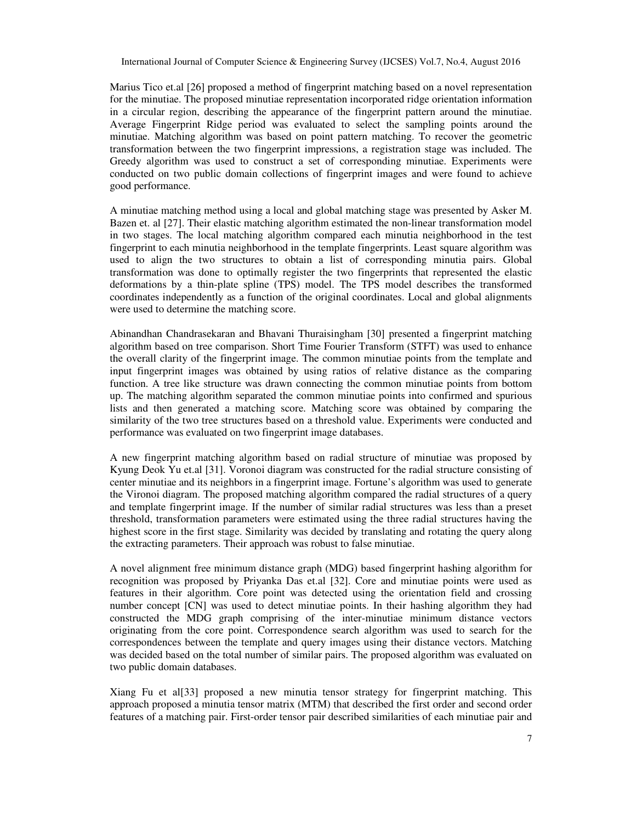Marius Tico et.al [26] proposed a method of fingerprint matching based on a novel representation for the minutiae. The proposed minutiae representation incorporated ridge orientation information in a circular region, describing the appearance of the fingerprint pattern around the minutiae. Average Fingerprint Ridge period was evaluated to select the sampling points around the minutiae. Matching algorithm was based on point pattern matching. To recover the geometric transformation between the two fingerprint impressions, a registration stage was included. The Greedy algorithm was used to construct a set of corresponding minutiae. Experiments were conducted on two public domain collections of fingerprint images and were found to achieve good performance.

A minutiae matching method using a local and global matching stage was presented by Asker M. Bazen et. al [27]. Their elastic matching algorithm estimated the non-linear transformation model in two stages. The local matching algorithm compared each minutia neighborhood in the test fingerprint to each minutia neighborhood in the template fingerprints. Least square algorithm was used to align the two structures to obtain a list of corresponding minutia pairs. Global transformation was done to optimally register the two fingerprints that represented the elastic deformations by a thin-plate spline (TPS) model. The TPS model describes the transformed coordinates independently as a function of the original coordinates. Local and global alignments were used to determine the matching score.

Abinandhan Chandrasekaran and Bhavani Thuraisingham [30] presented a fingerprint matching algorithm based on tree comparison. Short Time Fourier Transform (STFT) was used to enhance the overall clarity of the fingerprint image. The common minutiae points from the template and input fingerprint images was obtained by using ratios of relative distance as the comparing function. A tree like structure was drawn connecting the common minutiae points from bottom up. The matching algorithm separated the common minutiae points into confirmed and spurious lists and then generated a matching score. Matching score was obtained by comparing the similarity of the two tree structures based on a threshold value. Experiments were conducted and performance was evaluated on two fingerprint image databases.

A new fingerprint matching algorithm based on radial structure of minutiae was proposed by Kyung Deok Yu et.al [31]. Voronoi diagram was constructed for the radial structure consisting of center minutiae and its neighbors in a fingerprint image. Fortune's algorithm was used to generate the Vironoi diagram. The proposed matching algorithm compared the radial structures of a query and template fingerprint image. If the number of similar radial structures was less than a preset threshold, transformation parameters were estimated using the three radial structures having the highest score in the first stage. Similarity was decided by translating and rotating the query along the extracting parameters. Their approach was robust to false minutiae.

A novel alignment free minimum distance graph (MDG) based fingerprint hashing algorithm for recognition was proposed by Priyanka Das et.al [32]. Core and minutiae points were used as features in their algorithm. Core point was detected using the orientation field and crossing number concept [CN] was used to detect minutiae points. In their hashing algorithm they had constructed the MDG graph comprising of the inter-minutiae minimum distance vectors originating from the core point. Correspondence search algorithm was used to search for the correspondences between the template and query images using their distance vectors. Matching was decided based on the total number of similar pairs. The proposed algorithm was evaluated on two public domain databases.

Xiang Fu et al[33] proposed a new minutia tensor strategy for fingerprint matching. This approach proposed a minutia tensor matrix (MTM) that described the first order and second order features of a matching pair. First-order tensor pair described similarities of each minutiae pair and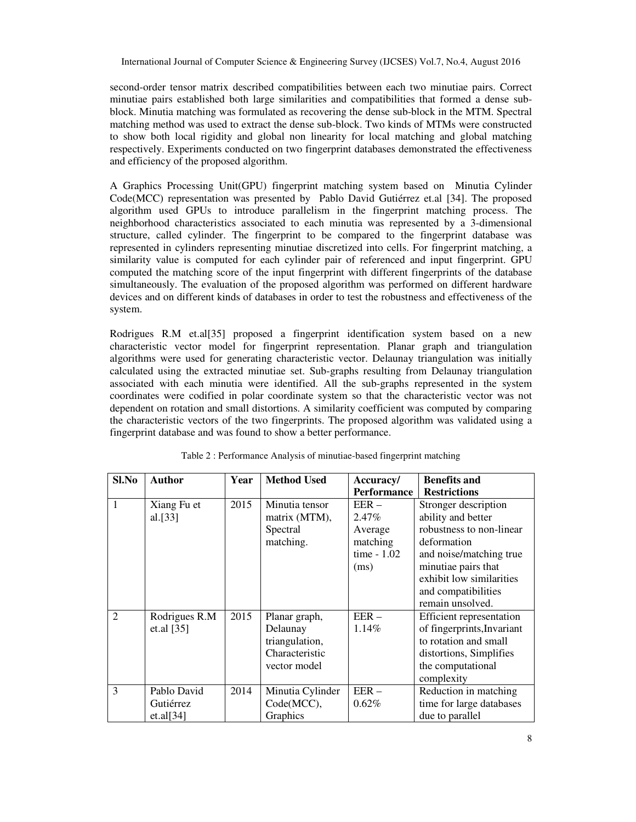second-order tensor matrix described compatibilities between each two minutiae pairs. Correct minutiae pairs established both large similarities and compatibilities that formed a dense subblock. Minutia matching was formulated as recovering the dense sub-block in the MTM. Spectral matching method was used to extract the dense sub-block. Two kinds of MTMs were constructed to show both local rigidity and global non linearity for local matching and global matching respectively. Experiments conducted on two fingerprint databases demonstrated the effectiveness and efficiency of the proposed algorithm.

A Graphics Processing Unit(GPU) fingerprint matching system based on Minutia Cylinder Code(MCC) representation was presented by Pablo David Gutiérrez et.al [34]. The proposed algorithm used GPUs to introduce parallelism in the fingerprint matching process. The neighborhood characteristics associated to each minutia was represented by a 3-dimensional structure, called cylinder. The fingerprint to be compared to the fingerprint database was represented in cylinders representing minutiae discretized into cells. For fingerprint matching, a similarity value is computed for each cylinder pair of referenced and input fingerprint. GPU computed the matching score of the input fingerprint with different fingerprints of the database simultaneously. The evaluation of the proposed algorithm was performed on different hardware devices and on different kinds of databases in order to test the robustness and effectiveness of the system.

Rodrigues R.M et.al[35] proposed a fingerprint identification system based on a new characteristic vector model for fingerprint representation. Planar graph and triangulation algorithms were used for generating characteristic vector. Delaunay triangulation was initially calculated using the extracted minutiae set. Sub-graphs resulting from Delaunay triangulation associated with each minutia were identified. All the sub-graphs represented in the system coordinates were codified in polar coordinate system so that the characteristic vector was not dependent on rotation and small distortions. A similarity coefficient was computed by comparing the characteristic vectors of the two fingerprints. The proposed algorithm was validated using a fingerprint database and was found to show a better performance.

| Sl.No          | <b>Author</b>    | Year | <b>Method Used</b> | Accuracy/          | <b>Benefits and</b>             |
|----------------|------------------|------|--------------------|--------------------|---------------------------------|
|                |                  |      |                    | <b>Performance</b> | <b>Restrictions</b>             |
| $\mathbf{1}$   | Xiang Fu et      | 2015 | Minutia tensor     | $EER -$            | Stronger description            |
|                | al. $[33]$       |      | matrix (MTM),      | $2.47\%$           | ability and better              |
|                |                  |      | Spectral           | Average            | robustness to non-linear        |
|                |                  |      | matching.          | matching           | deformation                     |
|                |                  |      |                    | time $-1.02$       | and noise/matching true         |
|                |                  |      |                    | (ms)               | minutiae pairs that             |
|                |                  |      |                    |                    | exhibit low similarities        |
|                |                  |      |                    |                    | and compatibilities             |
|                |                  |      |                    |                    | remain unsolved.                |
| $\overline{2}$ | Rodrigues R.M    | 2015 | Planar graph,      | $EER -$            | <b>Efficient representation</b> |
|                | et.al $[35]$     |      | Delaunay           | $1.14\%$           | of fingerprints, Invariant      |
|                |                  |      | triangulation,     |                    | to rotation and small           |
|                |                  |      | Characteristic     |                    | distortions, Simplifies         |
|                |                  |      | vector model       |                    | the computational               |
|                |                  |      |                    |                    | complexity                      |
| 3              | Pablo David      | 2014 | Minutia Cylinder   | $EER -$            | Reduction in matching           |
|                | <b>Gutiérrez</b> |      | Code(MCC),         | $0.62\%$           | time for large databases        |
|                | et.al[34]        |      | Graphics           |                    | due to parallel                 |

Table 2 : Performance Analysis of minutiae-based fingerprint matching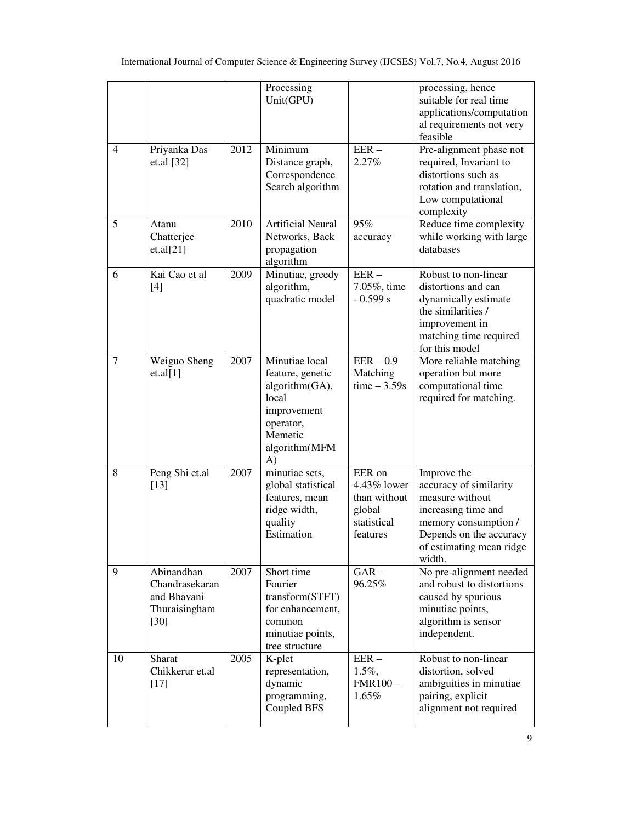| $\overline{4}$ | Priyanka Das<br>et.al [32]                                             | 2012 | Processing<br>Unit(GPU)<br>Minimum<br>Distance graph,<br>Correspondence<br>Search algorithm                                 | $EER -$<br>2.27%                                                           | processing, hence<br>suitable for real time<br>applications/computation<br>al requirements not very<br>feasible<br>Pre-alignment phase not<br>required, Invariant to<br>distortions such as<br>rotation and translation,<br>Low computational<br>complexity |
|----------------|------------------------------------------------------------------------|------|-----------------------------------------------------------------------------------------------------------------------------|----------------------------------------------------------------------------|-------------------------------------------------------------------------------------------------------------------------------------------------------------------------------------------------------------------------------------------------------------|
| 5              | Atanu<br>Chatterjee<br>et.al[21]                                       | 2010 | <b>Artificial Neural</b><br>Networks, Back<br>propagation<br>algorithm                                                      | 95%<br>accuracy                                                            | Reduce time complexity<br>while working with large<br>databases                                                                                                                                                                                             |
| 6              | Kai Cao et al<br>$[4]$                                                 | 2009 | Minutiae, greedy<br>algorithm,<br>quadratic model                                                                           | $EER -$<br>7.05%, time<br>$-0.599 s$                                       | Robust to non-linear<br>distortions and can<br>dynamically estimate<br>the similarities /<br>improvement in<br>matching time required<br>for this model                                                                                                     |
| $\overline{7}$ | Weiguo Sheng<br>et.al[1]                                               | 2007 | Minutiae local<br>feature, genetic<br>algorithm(GA),<br>local<br>improvement<br>operator,<br>Memetic<br>algorithm(MFM<br>A) | $EER - 0.9$<br>Matching<br>$time - 3.59s$                                  | More reliable matching<br>operation but more<br>computational time<br>required for matching.                                                                                                                                                                |
| 8              | Peng Shi et.al<br>$[13]$                                               | 2007 | minutiae sets,<br>global statistical<br>features, mean<br>ridge width,<br>quality<br>Estimation                             | EER on<br>4.43% lower<br>than without<br>global<br>statistical<br>features | Improve the<br>accuracy of similarity<br>measure without<br>increasing time and<br>memory consumption /<br>Depends on the accuracy<br>of estimating mean ridge<br>width.                                                                                    |
| 9              | Abinandhan<br>Chandrasekaran<br>and Bhavani<br>Thuraisingham<br>$[30]$ | 2007 | Short time<br>Fourier<br>transform(STFT)<br>for enhancement,<br>common<br>minutiae points,<br>tree structure                | $GAR -$<br>96.25%                                                          | No pre-alignment needed<br>and robust to distortions<br>caused by spurious<br>minutiae points,<br>algorithm is sensor<br>independent.                                                                                                                       |
| 10             | Sharat<br>Chikkerur et.al<br>$[17]$                                    | 2005 | K-plet<br>representation,<br>dynamic<br>programming,<br>Coupled BFS                                                         | $EER -$<br>$1.5\%,$<br>FMR100-<br>1.65%                                    | Robust to non-linear<br>distortion, solved<br>ambiguities in minutiae<br>pairing, explicit<br>alignment not required                                                                                                                                        |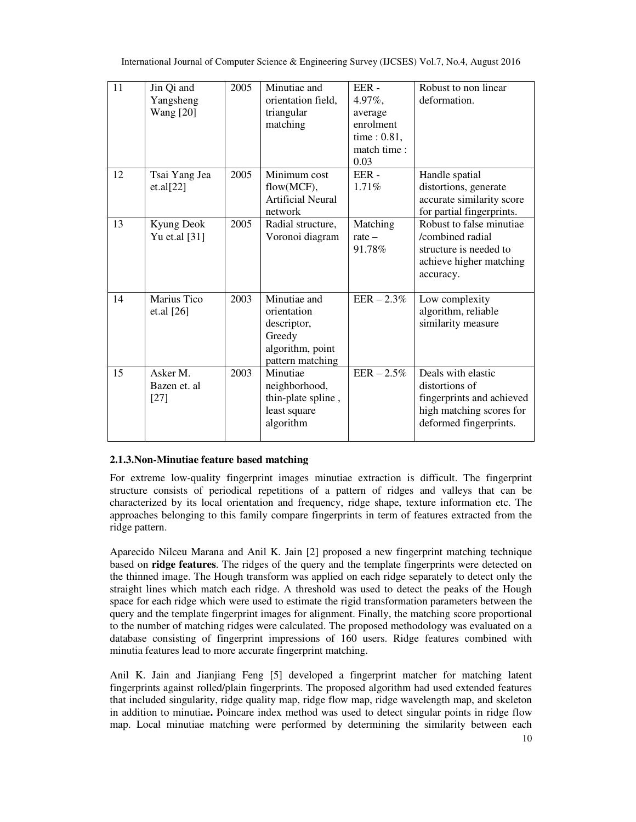| 11 | Jin Qi and<br>Yangsheng<br><b>Wang</b> [20] | 2005 | Minutiae and<br>orientation field,<br>triangular<br>matching                                 | EER-<br>4.97%,<br>average<br>enrolment<br>time: $0.81$ ,<br>match time:<br>0.03 | Robust to non linear<br>deformation.                                                                                    |
|----|---------------------------------------------|------|----------------------------------------------------------------------------------------------|---------------------------------------------------------------------------------|-------------------------------------------------------------------------------------------------------------------------|
| 12 | Tsai Yang Jea<br>et.al[22]                  | 2005 | Minimum cost<br>flow(MCF),<br>Artificial Neural<br>network                                   | EER-<br>1.71%                                                                   | Handle spatial<br>distortions, generate<br>accurate similarity score<br>for partial fingerprints.                       |
| 13 | Kyung Deok<br>Yu et.al [31]                 | 2005 | Radial structure,<br>Voronoi diagram                                                         | Matching<br>$rate -$<br>91.78%                                                  | Robust to false minutiae<br>/combined radial<br>structure is needed to<br>achieve higher matching<br>accuracy.          |
| 14 | Marius Tico<br>et.al $[26]$                 | 2003 | Minutiae and<br>orientation<br>descriptor,<br>Greedy<br>algorithm, point<br>pattern matching | $EER - 2.3%$                                                                    | Low complexity<br>algorithm, reliable<br>similarity measure                                                             |
| 15 | Asker M.<br>Bazen et. al<br>$[27]$          | 2003 | Minutiae<br>neighborhood,<br>thin-plate spline,<br>least square<br>algorithm                 | $EER - 2.5%$                                                                    | Deals with elastic<br>distortions of<br>fingerprints and achieved<br>high matching scores for<br>deformed fingerprints. |

## **2.1.3.Non-Minutiae feature based matching**

For extreme low-quality fingerprint images minutiae extraction is difficult. The fingerprint structure consists of periodical repetitions of a pattern of ridges and valleys that can be characterized by its local orientation and frequency, ridge shape, texture information etc. The approaches belonging to this family compare fingerprints in term of features extracted from the ridge pattern.

Aparecido Nilceu Marana and Anil K. Jain [2] proposed a new fingerprint matching technique based on **ridge features**. The ridges of the query and the template fingerprints were detected on the thinned image. The Hough transform was applied on each ridge separately to detect only the straight lines which match each ridge. A threshold was used to detect the peaks of the Hough space for each ridge which were used to estimate the rigid transformation parameters between the query and the template fingerprint images for alignment. Finally, the matching score proportional to the number of matching ridges were calculated. The proposed methodology was evaluated on a database consisting of fingerprint impressions of 160 users. Ridge features combined with minutia features lead to more accurate fingerprint matching.

Anil K. Jain and Jianjiang Feng [5] developed a fingerprint matcher for matching latent fingerprints against rolled/plain fingerprints. The proposed algorithm had used extended features that included singularity, ridge quality map, ridge flow map, ridge wavelength map, and skeleton in addition to minutiae**.** Poincare index method was used to detect singular points in ridge flow map. Local minutiae matching were performed by determining the similarity between each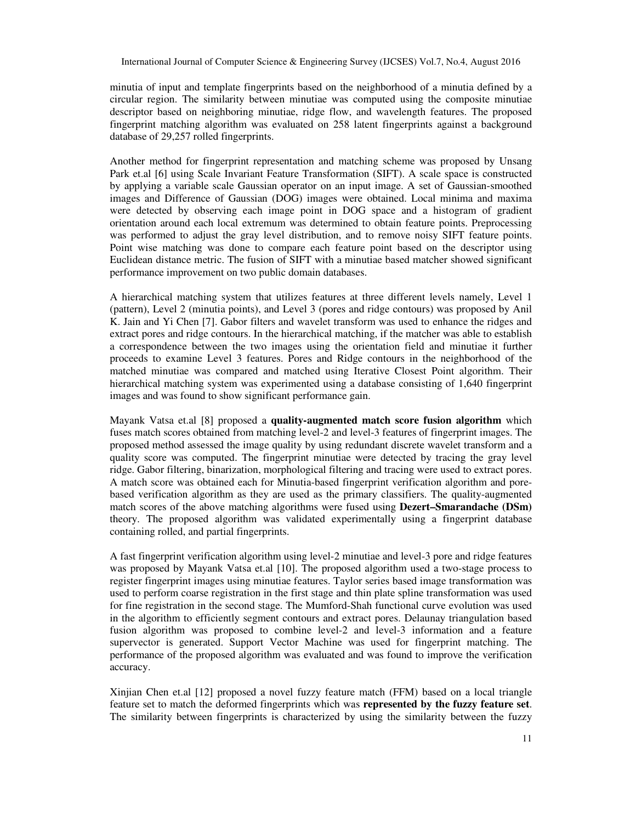minutia of input and template fingerprints based on the neighborhood of a minutia defined by a circular region. The similarity between minutiae was computed using the composite minutiae descriptor based on neighboring minutiae, ridge flow, and wavelength features. The proposed fingerprint matching algorithm was evaluated on 258 latent fingerprints against a background database of 29,257 rolled fingerprints.

Another method for fingerprint representation and matching scheme was proposed by Unsang Park et.al [6] using Scale Invariant Feature Transformation (SIFT). A scale space is constructed by applying a variable scale Gaussian operator on an input image. A set of Gaussian-smoothed images and Difference of Gaussian (DOG) images were obtained. Local minima and maxima were detected by observing each image point in DOG space and a histogram of gradient orientation around each local extremum was determined to obtain feature points. Preprocessing was performed to adjust the gray level distribution, and to remove noisy SIFT feature points. Point wise matching was done to compare each feature point based on the descriptor using Euclidean distance metric. The fusion of SIFT with a minutiae based matcher showed significant performance improvement on two public domain databases.

A hierarchical matching system that utilizes features at three different levels namely, Level 1 (pattern), Level 2 (minutia points), and Level 3 (pores and ridge contours) was proposed by Anil K. Jain and Yi Chen [7]. Gabor filters and wavelet transform was used to enhance the ridges and extract pores and ridge contours. In the hierarchical matching, if the matcher was able to establish a correspondence between the two images using the orientation field and minutiae it further proceeds to examine Level 3 features. Pores and Ridge contours in the neighborhood of the matched minutiae was compared and matched using Iterative Closest Point algorithm. Their hierarchical matching system was experimented using a database consisting of 1,640 fingerprint images and was found to show significant performance gain.

Mayank Vatsa et.al [8] proposed a **quality-augmented match score fusion algorithm** which fuses match scores obtained from matching level-2 and level-3 features of fingerprint images. The proposed method assessed the image quality by using redundant discrete wavelet transform and a quality score was computed. The fingerprint minutiae were detected by tracing the gray level ridge. Gabor filtering, binarization, morphological filtering and tracing were used to extract pores. A match score was obtained each for Minutia-based fingerprint verification algorithm and porebased verification algorithm as they are used as the primary classifiers. The quality-augmented match scores of the above matching algorithms were fused using **Dezert–Smarandache (DSm)** theory. The proposed algorithm was validated experimentally using a fingerprint database containing rolled, and partial fingerprints.

A fast fingerprint verification algorithm using level-2 minutiae and level-3 pore and ridge features was proposed by Mayank Vatsa et.al [10]. The proposed algorithm used a two-stage process to register fingerprint images using minutiae features. Taylor series based image transformation was used to perform coarse registration in the first stage and thin plate spline transformation was used for fine registration in the second stage. The Mumford-Shah functional curve evolution was used in the algorithm to efficiently segment contours and extract pores. Delaunay triangulation based fusion algorithm was proposed to combine level-2 and level-3 information and a feature supervector is generated. Support Vector Machine was used for fingerprint matching. The performance of the proposed algorithm was evaluated and was found to improve the verification accuracy.

Xinjian Chen et.al [12] proposed a novel fuzzy feature match (FFM) based on a local triangle feature set to match the deformed fingerprints which was **represented by the fuzzy feature set**. The similarity between fingerprints is characterized by using the similarity between the fuzzy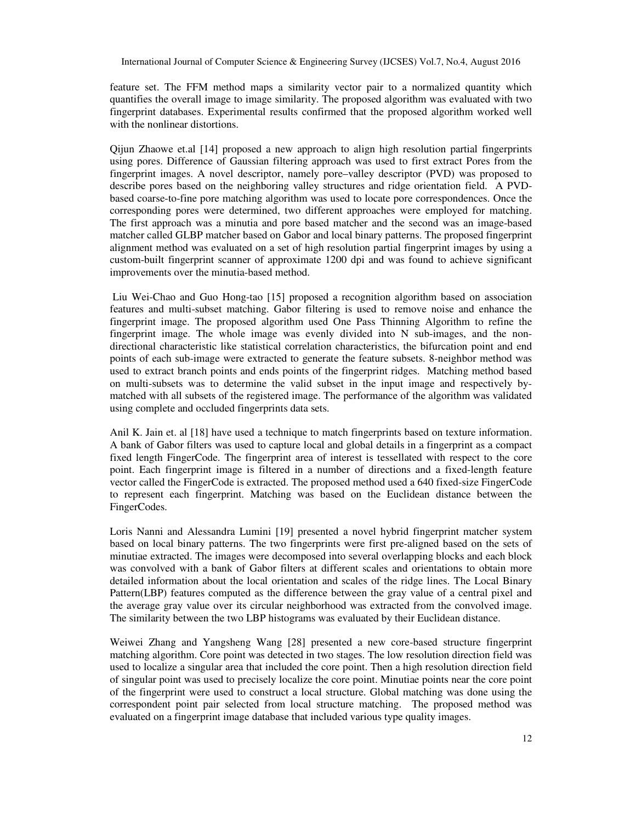feature set. The FFM method maps a similarity vector pair to a normalized quantity which quantifies the overall image to image similarity. The proposed algorithm was evaluated with two fingerprint databases. Experimental results confirmed that the proposed algorithm worked well with the nonlinear distortions.

Qijun Zhaowe et.al [14] proposed a new approach to align high resolution partial fingerprints using pores. Difference of Gaussian filtering approach was used to first extract Pores from the fingerprint images. A novel descriptor, namely pore–valley descriptor (PVD) was proposed to describe pores based on the neighboring valley structures and ridge orientation field. A PVDbased coarse-to-fine pore matching algorithm was used to locate pore correspondences. Once the corresponding pores were determined, two different approaches were employed for matching. The first approach was a minutia and pore based matcher and the second was an image-based matcher called GLBP matcher based on Gabor and local binary patterns. The proposed fingerprint alignment method was evaluated on a set of high resolution partial fingerprint images by using a custom-built fingerprint scanner of approximate 1200 dpi and was found to achieve significant improvements over the minutia-based method.

 Liu Wei-Chao and Guo Hong-tao [15] proposed a recognition algorithm based on association features and multi-subset matching. Gabor filtering is used to remove noise and enhance the fingerprint image. The proposed algorithm used One Pass Thinning Algorithm to refine the fingerprint image. The whole image was evenly divided into N sub-images, and the nondirectional characteristic like statistical correlation characteristics, the bifurcation point and end points of each sub-image were extracted to generate the feature subsets. 8-neighbor method was used to extract branch points and ends points of the fingerprint ridges. Matching method based on multi-subsets was to determine the valid subset in the input image and respectively bymatched with all subsets of the registered image. The performance of the algorithm was validated using complete and occluded fingerprints data sets.

Anil K. Jain et. al [18] have used a technique to match fingerprints based on texture information. A bank of Gabor filters was used to capture local and global details in a fingerprint as a compact fixed length FingerCode. The fingerprint area of interest is tessellated with respect to the core point. Each fingerprint image is filtered in a number of directions and a fixed-length feature vector called the FingerCode is extracted. The proposed method used a 640 fixed-size FingerCode to represent each fingerprint. Matching was based on the Euclidean distance between the FingerCodes.

Loris Nanni and Alessandra Lumini [19] presented a novel hybrid fingerprint matcher system based on local binary patterns. The two fingerprints were first pre-aligned based on the sets of minutiae extracted. The images were decomposed into several overlapping blocks and each block was convolved with a bank of Gabor filters at different scales and orientations to obtain more detailed information about the local orientation and scales of the ridge lines. The Local Binary Pattern(LBP) features computed as the difference between the gray value of a central pixel and the average gray value over its circular neighborhood was extracted from the convolved image. The similarity between the two LBP histograms was evaluated by their Euclidean distance.

Weiwei Zhang and Yangsheng Wang [28] presented a new core-based structure fingerprint matching algorithm. Core point was detected in two stages. The low resolution direction field was used to localize a singular area that included the core point. Then a high resolution direction field of singular point was used to precisely localize the core point. Minutiae points near the core point of the fingerprint were used to construct a local structure. Global matching was done using the correspondent point pair selected from local structure matching. The proposed method was evaluated on a fingerprint image database that included various type quality images.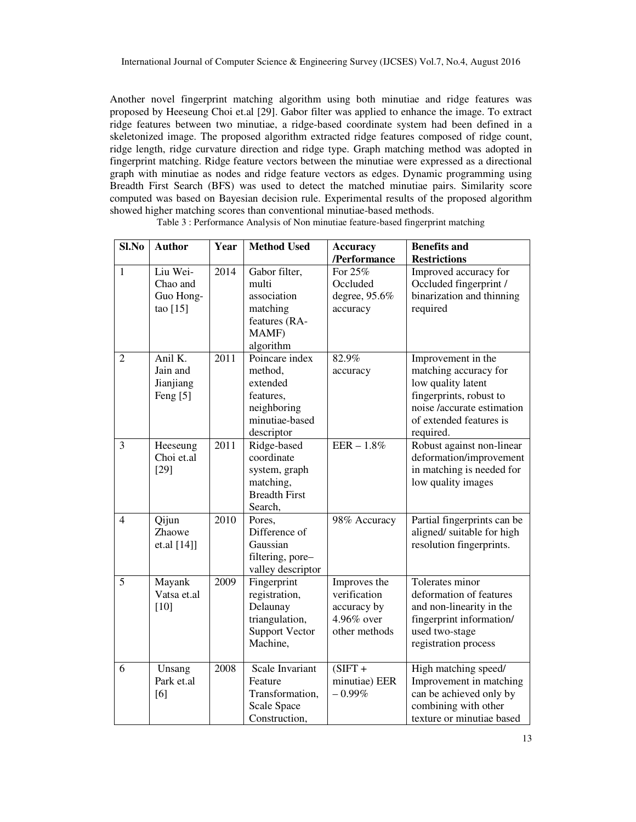Another novel fingerprint matching algorithm using both minutiae and ridge features was proposed by Heeseung Choi et.al [29]. Gabor filter was applied to enhance the image. To extract ridge features between two minutiae, a ridge-based coordinate system had been defined in a skeletonized image. The proposed algorithm extracted ridge features composed of ridge count, ridge length, ridge curvature direction and ridge type. Graph matching method was adopted in fingerprint matching. Ridge feature vectors between the minutiae were expressed as a directional graph with minutiae as nodes and ridge feature vectors as edges. Dynamic programming using Breadth First Search (BFS) was used to detect the matched minutiae pairs. Similarity score computed was based on Bayesian decision rule. Experimental results of the proposed algorithm showed higher matching scores than conventional minutiae-based methods.

Table 3 : Performance Analysis of Non minutiae feature-based fingerprint matching

| $Sl$ .No       | <b>Author</b>                                  | Year | <b>Method Used</b>                                                                                | <b>Accuracy</b>                                                            | <b>Benefits and</b>                                                                                                                                                |
|----------------|------------------------------------------------|------|---------------------------------------------------------------------------------------------------|----------------------------------------------------------------------------|--------------------------------------------------------------------------------------------------------------------------------------------------------------------|
|                |                                                |      |                                                                                                   | /Performance                                                               | <b>Restrictions</b>                                                                                                                                                |
| $\overline{1}$ | Liu Wei-<br>Chao and<br>Guo Hong-<br>tao [15]  | 2014 | Gabor filter,<br>multi<br>association<br>matching<br>features (RA-<br>MAMF)<br>algorithm          | For 25%<br>Occluded<br>degree, 95.6%<br>accuracy                           | Improved accuracy for<br>Occluded fingerprint /<br>binarization and thinning<br>required                                                                           |
| $\overline{2}$ | Anil K.<br>Jain and<br>Jianjiang<br>Feng $[5]$ | 2011 | Poincare index<br>method,<br>extended<br>features,<br>neighboring<br>minutiae-based<br>descriptor | 82.9%<br>accuracy                                                          | Improvement in the<br>matching accuracy for<br>low quality latent<br>fingerprints, robust to<br>noise /accurate estimation<br>of extended features is<br>required. |
| $\overline{3}$ | Heeseung<br>Choi et.al<br>$[29]$               | 2011 | Ridge-based<br>coordinate<br>system, graph<br>matching,<br><b>Breadth First</b><br>Search,        | EER - $1.8\%$                                                              | Robust against non-linear<br>deformation/improvement<br>in matching is needed for<br>low quality images                                                            |
| $\overline{4}$ | Qijun<br>Zhaowe<br>et.al [14]]                 | 2010 | Pores,<br>Difference of<br>Gaussian<br>filtering, pore-<br>valley descriptor                      | 98% Accuracy                                                               | Partial fingerprints can be<br>aligned/ suitable for high<br>resolution fingerprints.                                                                              |
| $\overline{5}$ | Mayank<br>Vatsa et.al<br>[10]                  | 2009 | Fingerprint<br>registration,<br>Delaunay<br>triangulation,<br><b>Support Vector</b><br>Machine,   | Improves the<br>verification<br>accuracy by<br>4.96% over<br>other methods | Tolerates minor<br>deformation of features<br>and non-linearity in the<br>fingerprint information/<br>used two-stage<br>registration process                       |
| 6              | Unsang<br>Park et.al<br>[6]                    | 2008 | Scale Invariant<br>Feature<br>Transformation,<br><b>Scale Space</b><br>Construction,              | $(SIFT +$<br>minutiae) EER<br>$-0.99%$                                     | High matching speed/<br>Improvement in matching<br>can be achieved only by<br>combining with other<br>texture or minutiae based                                    |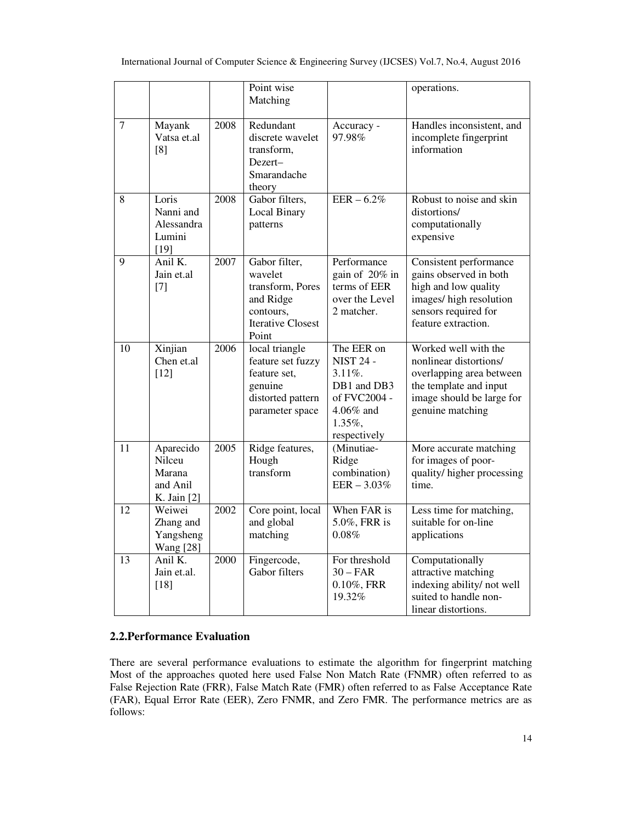|                 |                                                          |      | Point wise<br>Matching                                                                                      |                                                                                                                    | operations.                                                                                                                                           |
|-----------------|----------------------------------------------------------|------|-------------------------------------------------------------------------------------------------------------|--------------------------------------------------------------------------------------------------------------------|-------------------------------------------------------------------------------------------------------------------------------------------------------|
| $\tau$          | Mayank<br>Vatsa et.al<br>[8]                             | 2008 | Redundant<br>discrete wavelet<br>transform,<br>Dezert-<br>Smarandache<br>theory                             | Accuracy -<br>97.98%                                                                                               | Handles inconsistent, and<br>incomplete fingerprint<br>information                                                                                    |
| 8               | Loris<br>Nanni and<br>Alessandra<br>Lumini<br>$[19]$     | 2008 | Gabor filters,<br><b>Local Binary</b><br>patterns                                                           | $EER - 6.2\%$                                                                                                      | Robust to noise and skin<br>distortions/<br>computationally<br>expensive                                                                              |
| 9               | Anil K.<br>Jain et.al<br>$[7]$                           | 2007 | Gabor filter,<br>wavelet<br>transform, Pores<br>and Ridge<br>contours,<br><b>Iterative Closest</b><br>Point | Performance<br>gain of 20% in<br>terms of EER<br>over the Level<br>2 matcher.                                      | Consistent performance<br>gains observed in both<br>high and low quality<br>images/high resolution<br>sensors required for<br>feature extraction.     |
| 10              | Xinjian<br>Chen et.al<br>$[12]$                          | 2006 | local triangle<br>feature set fuzzy<br>feature set,<br>genuine<br>distorted pattern<br>parameter space      | The EER on<br><b>NIST 24 -</b><br>$3.11\%$ .<br>DB1 and DB3<br>of FVC2004 -<br>4.06% and<br>1.35%,<br>respectively | Worked well with the<br>nonlinear distortions/<br>overlapping area between<br>the template and input<br>image should be large for<br>genuine matching |
| $\overline{11}$ | Aparecido<br>Nilceu<br>Marana<br>and Anil<br>K. Jain [2] | 2005 | Ridge features,<br>Hough<br>transform                                                                       | (Minutiae-<br>Ridge<br>combination)<br>$EER - 3.03%$                                                               | More accurate matching<br>for images of poor-<br>quality/ higher processing<br>time.                                                                  |
| 12              | Weiwei<br>Zhang and<br>Yangsheng<br><b>Wang</b> [28]     | 2002 | Core point, local<br>and global<br>matching                                                                 | When FAR is<br>5.0%, FRR is<br>$0.08\%$                                                                            | Less time for matching,<br>suitable for on-line<br>applications                                                                                       |
| 13              | Anil K.<br>Jain et.al.<br>[18]                           | 2000 | Fingercode,<br>Gabor filters                                                                                | For threshold<br>$30 - FAR$<br>0.10%, FRR<br>19.32%                                                                | Computationally<br>attractive matching<br>indexing ability/ not well<br>suited to handle non-<br>linear distortions.                                  |

## **2.2.Performance Evaluation**

There are several performance evaluations to estimate the algorithm for fingerprint matching Most of the approaches quoted here used False Non Match Rate (FNMR) often referred to as False Rejection Rate (FRR), False Match Rate (FMR) often referred to as False Acceptance Rate (FAR), Equal Error Rate (EER), Zero FNMR, and Zero FMR. The performance metrics are as follows: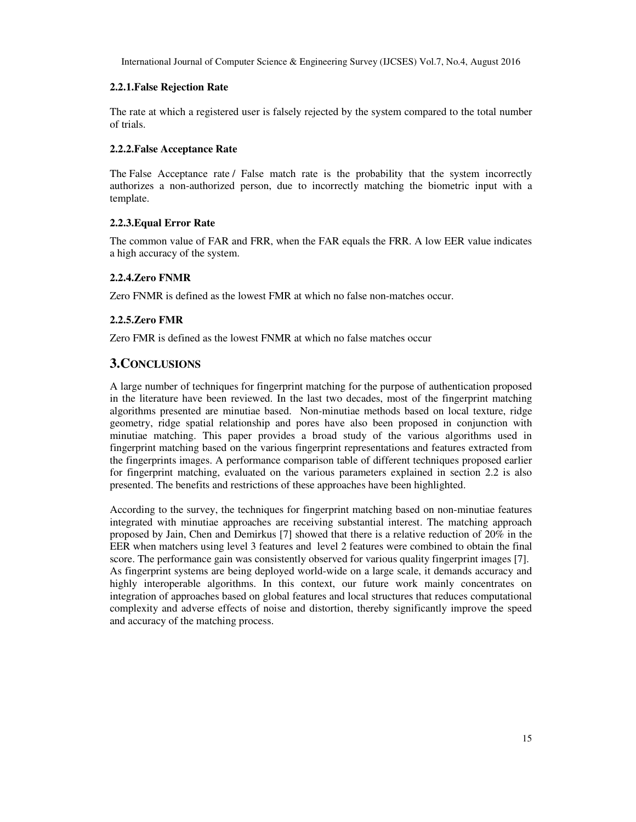## **2.2.1.False Rejection Rate**

The rate at which a registered user is falsely rejected by the system compared to the total number of trials.

## **2.2.2.False Acceptance Rate**

The False Acceptance rate / False match rate is the probability that the system incorrectly authorizes a non-authorized person, due to incorrectly matching the biometric input with a template.

### **2.2.3.Equal Error Rate**

The common value of FAR and FRR, when the FAR equals the FRR. A low EER value indicates a high accuracy of the system.

### **2.2.4.Zero FNMR**

Zero FNMR is defined as the lowest FMR at which no false non-matches occur.

### **2.2.5.Zero FMR**

Zero FMR is defined as the lowest FNMR at which no false matches occur

## **3.CONCLUSIONS**

A large number of techniques for fingerprint matching for the purpose of authentication proposed in the literature have been reviewed. In the last two decades, most of the fingerprint matching algorithms presented are minutiae based. Non-minutiae methods based on local texture, ridge geometry, ridge spatial relationship and pores have also been proposed in conjunction with minutiae matching. This paper provides a broad study of the various algorithms used in fingerprint matching based on the various fingerprint representations and features extracted from the fingerprints images. A performance comparison table of different techniques proposed earlier for fingerprint matching, evaluated on the various parameters explained in section 2.2 is also presented. The benefits and restrictions of these approaches have been highlighted.

According to the survey, the techniques for fingerprint matching based on non-minutiae features integrated with minutiae approaches are receiving substantial interest. The matching approach proposed by Jain, Chen and Demirkus [7] showed that there is a relative reduction of 20% in the EER when matchers using level 3 features and level 2 features were combined to obtain the final score. The performance gain was consistently observed for various quality fingerprint images [7]. As fingerprint systems are being deployed world-wide on a large scale, it demands accuracy and highly interoperable algorithms. In this context, our future work mainly concentrates on integration of approaches based on global features and local structures that reduces computational complexity and adverse effects of noise and distortion, thereby significantly improve the speed and accuracy of the matching process.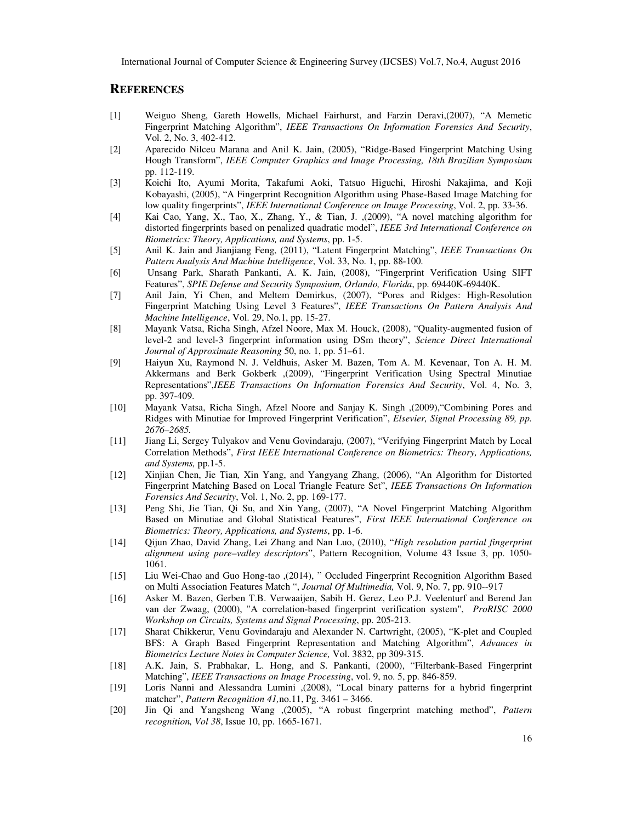## **REFERENCES**

- [1] Weiguo Sheng, Gareth Howells, Michael Fairhurst, and Farzin Deravi,(2007), "A Memetic Fingerprint Matching Algorithm", *IEEE Transactions On Information Forensics And Security*, Vol. 2, No. 3, 402-412.
- [2] Aparecido Nilceu Marana and Anil K. Jain, (2005), "Ridge-Based Fingerprint Matching Using Hough Transform", *IEEE Computer Graphics and Image Processing, 18th Brazilian Symposium* pp. 112-119.
- [3] Koichi Ito, Ayumi Morita, Takafumi Aoki, Tatsuo Higuchi, Hiroshi Nakajima, and Koji Kobayashi, (2005), "A Fingerprint Recognition Algorithm using Phase-Based Image Matching for low quality fingerprints", *IEEE International Conference on Image Processing*, Vol. 2, pp. 33-36.
- [4] Kai Cao, Yang, X., Tao, X., Zhang, Y., & Tian, J. ,(2009), "A novel matching algorithm for distorted fingerprints based on penalized quadratic model", *IEEE 3rd International Conference on Biometrics: Theory, Applications, and Systems*, pp. 1-5.
- [5] Anil K. Jain and Jianjiang Feng, (2011), "Latent Fingerprint Matching", *IEEE Transactions On Pattern Analysis And Machine Intelligence*, Vol. 33, No. 1, pp. 88-100.
- [6] Unsang Park, Sharath Pankanti, A. K. Jain, (2008), "Fingerprint Verification Using SIFT Features", *SPIE Defense and Security Symposium, Orlando, Florida*, pp. 69440K-69440K.
- [7] Anil Jain, Yi Chen, and Meltem Demirkus, (2007), "Pores and Ridges: High-Resolution Fingerprint Matching Using Level 3 Features", *IEEE Transactions On Pattern Analysis And Machine Intelligence*, Vol. 29, No.1, pp. 15-27.
- [8] Mayank Vatsa, Richa Singh, Afzel Noore, Max M. Houck, (2008), "Quality-augmented fusion of level-2 and level-3 fingerprint information using DSm theory", *Science Direct International Journal of Approximate Reasoning* 50, no. 1, pp. 51–61.
- [9] Haiyun Xu, Raymond N. J. Veldhuis, Asker M. Bazen, Tom A. M. Kevenaar, Ton A. H. M. Akkermans and Berk Gokberk ,(2009), "Fingerprint Verification Using Spectral Minutiae Representations",*IEEE Transactions On Information Forensics And Security*, Vol. 4, No. 3, pp. 397-409.
- [10] Mayank Vatsa, Richa Singh, Afzel Noore and Sanjay K. Singh ,(2009),"Combining Pores and Ridges with Minutiae for Improved Fingerprint Verification", *Elsevier, Signal Processing 89, pp. 2676–2685.*
- [11] Jiang Li, Sergey Tulyakov and Venu Govindaraju, (2007), "Verifying Fingerprint Match by Local Correlation Methods", *First IEEE International Conference on Biometrics: Theory, Applications, and Systems,* pp.1-5.
- [12] Xinjian Chen, Jie Tian*,* Xin Yang, and Yangyang Zhang, (2006), "An Algorithm for Distorted Fingerprint Matching Based on Local Triangle Feature Set", *IEEE Transactions On Information Forensics And Security*, Vol. 1, No. 2, pp. 169-177.
- [13] Peng Shi, Jie Tian, Qi Su, and Xin Yang, (2007), "A Novel Fingerprint Matching Algorithm Based on Minutiae and Global Statistical Features", *First IEEE International Conference on Biometrics: Theory, Applications, and Systems*, pp. 1-6.
- [14] Qijun Zhao, David Zhang, Lei Zhang and Nan Luo, (2010), "*High resolution partial fingerprint alignment using pore–valley descriptors*", Pattern Recognition, Volume 43 Issue 3, pp. 1050- 1061.
- [15] Liu Wei-Chao and Guo Hong-tao ,(2014), " Occluded Fingerprint Recognition Algorithm Based on Multi Association Features Match ", *Journal Of Multimedia,* Vol. 9, No. 7, pp. 910--917
- [16] Asker M. Bazen, Gerben T.B. Verwaaijen, Sabih H. Gerez, Leo P.J. Veelenturf and Berend Jan van der Zwaag, (2000), "A correlation-based fingerprint verification system", *ProRISC 2000 Workshop on Circuits, Systems and Signal Processing*, pp. 205-213.
- [17] Sharat Chikkerur, Venu Govindaraju and Alexander N. Cartwright, (2005), "K-plet and Coupled BFS: A Graph Based Fingerprint Representation and Matching Algorithm", *Advances in Biometrics Lecture Notes in Computer Science,* Vol. 3832, pp 309-315.
- [18] A.K. Jain, S. Prabhakar, L. Hong, and S. Pankanti, (2000), "Filterbank-Based Fingerprint Matching", *IEEE Transactions on Image Processing*, vol. 9, no. 5, pp. 846-859.
- [19] Loris Nanni and Alessandra Lumini ,(2008), "Local binary patterns for a hybrid fingerprint matcher", *Pattern Recognition 41,*no.11, Pg. 3461 – 3466.
- [20] Jin Qi and Yangsheng Wang ,(2005), "A robust fingerprint matching method", *Pattern recognition, Vol 38*, Issue 10, pp. 1665-1671.